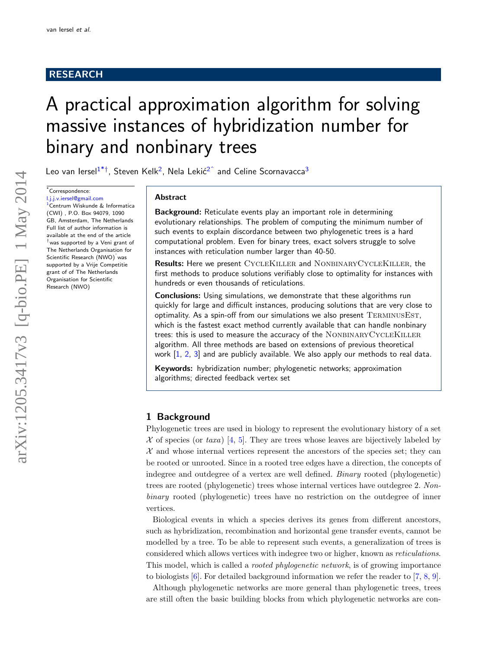# RESEARCH

# A practical approximation algorithm for solving massive instances of hybridization number for binary and nonbinary trees

Leo van Iersel $1^{*+}$  $1^{*+}$  $1^{*+}$  $1^{*+}$ , Steven Kelk<sup>[2](#page-14-1)</sup>, Nela Lekić<sup>2^</sup> and Celine Scornavacca<sup>[3](#page-14-2)</sup>

<span id="page-0-0"></span>\*Correspondence:

<span id="page-0-1"></span>[l.j.j.v.iersel@gmail.com](mailto:l.j.j.v.iersel@gmail.com) [1](#page-14-0)Centrum Wiskunde & Informatica (CWI) , P.O. Box 94079, 1090 GB, Amsterdam, The Netherlands Full list of author information is available at the end of the article  $^\dagger$ was supported by a Veni grant of The Netherlands Organisation for Scientific Research (NWO)ˆwas supported by a Vrije Competitie grant of of The Netherlands Organisation for Scientific Research (NWO)

## Abstract

Background: Reticulate events play an important role in determining evolutionary relationships. The problem of computing the minimum number of such events to explain discordance between two phylogenetic trees is a hard computational problem. Even for binary trees, exact solvers struggle to solve instances with reticulation number larger than 40-50.

<span id="page-0-2"></span>Results: Here we present CycleKiller and NonbinaryCycleKiller, the first methods to produce solutions verifiably close to optimality for instances with hundreds or even thousands of reticulations.

Conclusions: Using simulations, we demonstrate that these algorithms run quickly for large and difficult instances, producing solutions that are very close to optimality. As a spin-off from our simulations we also present TERMINUSEST, which is the fastest exact method currently available that can handle nonbinary trees: this is used to measure the accuracy of the NONBINARYCYCLEKILLER algorithm. All three methods are based on extensions of previous theoretical work  $\left[1, 2, 3\right]$  $\left[1, 2, 3\right]$  $\left[1, 2, 3\right]$  $\left[1, 2, 3\right]$  $\left[1, 2, 3\right]$  and are publicly available. We also apply our methods to real data.

Keywords: hybridization number; phylogenetic networks; approximation algorithms; directed feedback vertex set

## 1 Background

Phylogenetic trees are used in biology to represent the evolutionary history of a set  $\mathcal X$  of species (or taxa) [\[4,](#page-14-6) [5\]](#page-14-7). They are trees whose leaves are bijectively labeled by  $X$  and whose internal vertices represent the ancestors of the species set; they can be rooted or unrooted. Since in a rooted tree edges have a direction, the concepts of indegree and outdegree of a vertex are well defined. Binary rooted (phylogenetic) trees are rooted (phylogenetic) trees whose internal vertices have outdegree 2. Nonbinary rooted (phylogenetic) trees have no restriction on the outdegree of inner vertices.

Biological events in which a species derives its genes from different ancestors, such as hybridization, recombination and horizontal gene transfer events, cannot be modelled by a tree. To be able to represent such events, a generalization of trees is considered which allows vertices with indegree two or higher, known as reticulations. This model, which is called a rooted phylogenetic network, is of growing importance to biologists [\[6\]](#page-14-8). For detailed background information we refer the reader to [\[7,](#page-14-9) [8,](#page-14-10) [9\]](#page-14-11).

Although phylogenetic networks are more general than phylogenetic trees, trees are still often the basic building blocks from which phylogenetic networks are con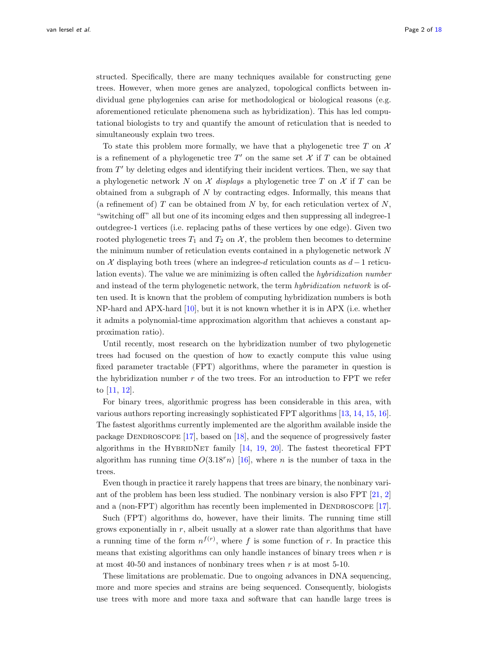structed. Specifically, there are many techniques available for constructing gene trees. However, when more genes are analyzed, topological conflicts between individual gene phylogenies can arise for methodological or biological reasons (e.g. aforementioned reticulate phenomena such as hybridization). This has led computational biologists to try and quantify the amount of reticulation that is needed to simultaneously explain two trees.

To state this problem more formally, we have that a phylogenetic tree  $T$  on  $\mathcal X$ is a refinement of a phylogenetic tree  $T'$  on the same set  $\mathcal X$  if  $T$  can be obtained from  $T'$  by deleting edges and identifying their incident vertices. Then, we say that a phylogenetic network N on  $\mathcal X$  displays a phylogenetic tree T on  $\mathcal X$  if T can be obtained from a subgraph of  $N$  by contracting edges. Informally, this means that (a refinement of)  $T$  can be obtained from  $N$  by, for each reticulation vertex of  $N$ , "switching off" all but one of its incoming edges and then suppressing all indegree-1 outdegree-1 vertices (i.e. replacing paths of these vertices by one edge). Given two rooted phylogenetic trees  $T_1$  and  $T_2$  on  $\mathcal{X}$ , the problem then becomes to determine the minimum number of reticulation events contained in a phylogenetic network N on  $\mathcal X$  displaying both trees (where an indegree-d reticulation counts as  $d-1$  reticulation events). The value we are minimizing is often called the hybridization number and instead of the term phylogenetic network, the term hybridization network is often used. It is known that the problem of computing hybridization numbers is both NP-hard and APX-hard [\[10\]](#page-14-12), but it is not known whether it is in APX (i.e. whether it admits a polynomial-time approximation algorithm that achieves a constant approximation ratio).

Until recently, most research on the hybridization number of two phylogenetic trees had focused on the question of how to exactly compute this value using fixed parameter tractable (FPT) algorithms, where the parameter in question is the hybridization number  $r$  of the two trees. For an introduction to FPT we refer to [\[11,](#page-14-13) [12\]](#page-14-14).

For binary trees, algorithmic progress has been considerable in this area, with various authors reporting increasingly sophisticated FPT algorithms [\[13,](#page-14-15) [14,](#page-14-16) [15,](#page-14-17) [16\]](#page-15-0). The fastest algorithms currently implemented are the algorithm available inside the package DENDROSCOPE  $[17]$ , based on  $[18]$ , and the sequence of progressively faster algorithms in the HYBRIDNET family  $[14, 19, 20]$  $[14, 19, 20]$  $[14, 19, 20]$  $[14, 19, 20]$  $[14, 19, 20]$ . The fastest theoretical FPT algorithm has running time  $O(3.18<sup>r</sup>n)$  [\[16\]](#page-15-0), where *n* is the number of taxa in the trees.

Even though in practice it rarely happens that trees are binary, the nonbinary variant of the problem has been less studied. The nonbinary version is also FPT [\[21,](#page-15-5) [2\]](#page-14-4) and a (non-FPT) algorithm has recently been implemented in DENDROSCOPE  $[17]$ .

Such (FPT) algorithms do, however, have their limits. The running time still grows exponentially in  $r$ , albeit usually at a slower rate than algorithms that have a running time of the form  $n^{f(r)}$ , where f is some function of r. In practice this means that existing algorithms can only handle instances of binary trees when  $r$  is at most  $40-50$  and instances of nonbinary trees when r is at most  $5-10$ .

These limitations are problematic. Due to ongoing advances in DNA sequencing, more and more species and strains are being sequenced. Consequently, biologists use trees with more and more taxa and software that can handle large trees is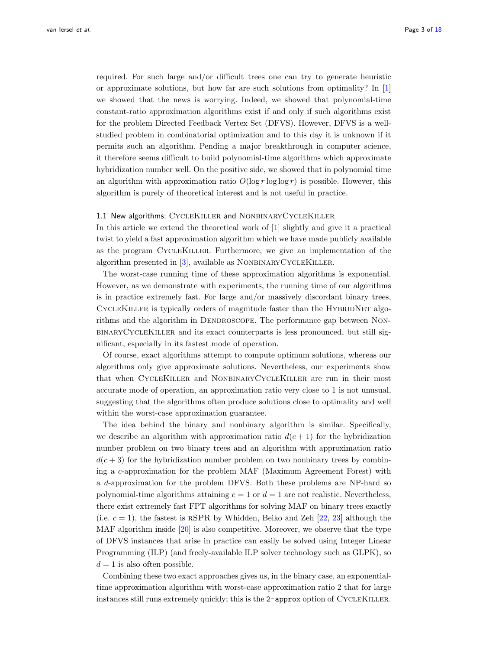required. For such large and/or difficult trees one can try to generate heuristic or approximate solutions, but how far are such solutions from optimality? In  $|1|$ we showed that the news is worrying. Indeed, we showed that polynomial-time constant-ratio approximation algorithms exist if and only if such algorithms exist for the problem Directed Feedback Vertex Set (DFVS). However, DFVS is a wellstudied problem in combinatorial optimization and to this day it is unknown if it permits such an algorithm. Pending a major breakthrough in computer science, it therefore seems difficult to build polynomial-time algorithms which approximate hybridization number well. On the positive side, we showed that in polynomial time an algorithm with approximation ratio  $O(\log r \log \log r)$  is possible. However, this algorithm is purely of theoretical interest and is not useful in practice.

#### <span id="page-2-0"></span>1.1 New algorithms: CYCLEKILLER and NONBINARYCYCLEKILLER

In this article we extend the theoretical work of [\[1\]](#page-14-3) slightly and give it a practical twist to yield a fast approximation algorithm which we have made publicly available as the program CycleKiller. Furthermore, we give an implementation of the algorithm presented in  $[3]$ , available as NONBINARYCYCLEKILLER.

The worst-case running time of these approximation algorithms is exponential. However, as we demonstrate with experiments, the running time of our algorithms is in practice extremely fast. For large and/or massively discordant binary trees, CYCLEKILLER is typically orders of magnitude faster than the HYBRIDNET algorithms and the algorithm in DENDROSCOPE. The performance gap between NONbinaryCycleKiller and its exact counterparts is less pronounced, but still significant, especially in its fastest mode of operation.

Of course, exact algorithms attempt to compute optimum solutions, whereas our algorithms only give approximate solutions. Nevertheless, our experiments show that when CycleKiller and NonbinaryCycleKiller are run in their most accurate mode of operation, an approximation ratio very close to 1 is not unusual, suggesting that the algorithms often produce solutions close to optimality and well within the worst-case approximation guarantee.

The idea behind the binary and nonbinary algorithm is similar. Specifically, we describe an algorithm with approximation ratio  $d(c+1)$  for the hybridization number problem on two binary trees and an algorithm with approximation ratio  $d(c+3)$  for the hybridization number problem on two nonbinary trees by combining a c-approximation for the problem MAF (Maximum Agreement Forest) with a d-approximation for the problem DFVS. Both these problems are NP-hard so polynomial-time algorithms attaining  $c = 1$  or  $d = 1$  are not realistic. Nevertheless, there exist extremely fast FPT algorithms for solving MAF on binary trees exactly (i.e.  $c = 1$ ), the fastest is RSPR by Whidden, Beiko and Zeh [\[22,](#page-15-6) [23\]](#page-15-7) although the MAF algorithm inside [\[20\]](#page-15-4) is also competitive. Moreover, we observe that the type of DFVS instances that arise in practice can easily be solved using Integer Linear Programming (ILP) (and freely-available ILP solver technology such as GLPK), so  $d = 1$  is also often possible.

Combining these two exact approaches gives us, in the binary case, an exponentialtime approximation algorithm with worst-case approximation ratio 2 that for large instances still runs extremely quickly; this is the 2-approx option of CYCLEKILLER.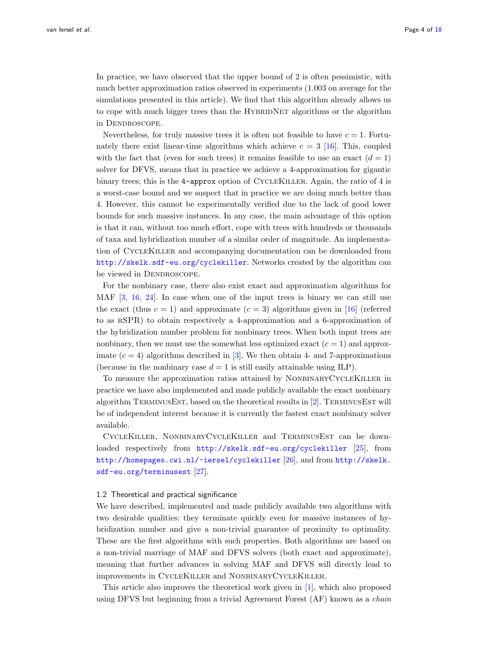In practice, we have observed that the upper bound of 2 is often pessimistic, with much better approximation ratios observed in experiments (1.003 on average for the simulations presented in this article). We find that this algorithm already allows us to cope with much bigger trees than the HYBRIDNET algorithms or the algorithm in DENDROSCOPE.

Nevertheless, for truly massive trees it is often not feasible to have  $c = 1$ . Fortunately there exist linear-time algorithms which achieve  $c = 3 \, [16]$  $c = 3 \, [16]$ . This, coupled with the fact that (even for such trees) it remains feasible to use an exact  $(d = 1)$ solver for DFVS, means that in practice we achieve a 4-approximation for gigantic binary trees; this is the 4-approx option of CycleKiller. Again, the ratio of 4 is a worst-case bound and we suspect that in practice we are doing much better than 4. However, this cannot be experimentally verified due to the lack of good lower bounds for such massive instances. In any case, the main advantage of this option is that it can, without too much effort, cope with trees with hundreds or thousands of taxa and hybridization number of a similar order of magnitude. An implementation of CycleKiller and accompanying documentation can be downloaded from <http://skelk.sdf-eu.org/cyclekiller>. Networks created by the algorithm can be viewed in DENDROSCOPE.

For the nonbinary case, there also exist exact and approximation algorithms for MAF [\[3,](#page-14-5) [16,](#page-15-0) [24\]](#page-15-8). In case when one of the input trees is binary we can still use the exact (thus  $c = 1$ ) and approximate  $(c = 3)$  algorithms given in [\[16\]](#page-15-0) (referred to as rSPR) to obtain respectively a 4-approximation and a 6-approximation of the hybridization number problem for nonbinary trees. When both input trees are nonbinary, then we must use the somewhat less optimized exact  $(c = 1)$  and approximate  $(c = 4)$  algorithms described in [\[3\]](#page-14-5). We then obtain 4- and 7-approximations (because in the nonbinary case  $d = 1$  is still easily attainable using ILP).

To measure the approximation ratios attained by NONBINARYCYCLEKILLER in practice we have also implemented and made publicly available the exact nonbinary algorithm TERMINUSEST, based on the theoretical results in [\[2\]](#page-14-4). TERMINUSEST will be of independent interest because it is currently the fastest exact nonbinary solver available.

CycleKiller, NonbinaryCycleKiller and TerminusEst can be downloaded respectively from <http://skelk.sdf-eu.org/cyclekiller> [\[25\]](#page-15-9), from <http://homepages.cwi.nl/~iersel/cyclekiller> [\[26\]](#page-15-10), and from [http://skelk.](http://skelk.sdf-eu.org/terminusest) [sdf-eu.org/terminusest](http://skelk.sdf-eu.org/terminusest) [\[27\]](#page-15-11).

#### 1.2 Theoretical and practical significance

We have described, implemented and made publicly available two algorithms with two desirable qualities: they terminate quickly even for massive instances of hybridization number and give a non-trivial guarantee of proximity to optimality. These are the first algorithms with such properties. Both algorithms are based on a non-trivial marriage of MAF and DFVS solvers (both exact and approximate), meaning that further advances in solving MAF and DFVS will directly lead to improvements in CycleKiller and NonbinaryCycleKiller.

This article also improves the theoretical work given in [\[1\]](#page-14-3), which also proposed using DFVS but beginning from a trivial Agreement Forest (AF) known as a *chain*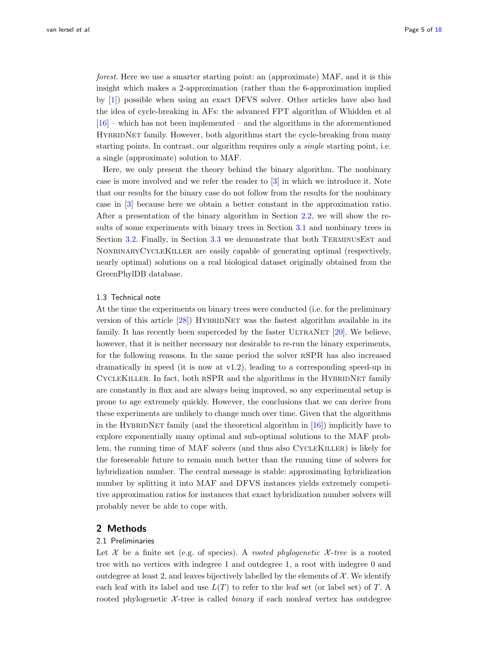forest. Here we use a smarter starting point: an (approximate) MAF, and it is this insight which makes a 2-approximation (rather than the 6-approximation implied by [\[1\]](#page-14-3)) possible when using an exact DFVS solver. Other articles have also had the idea of cycle-breaking in AFs: the advanced FPT algorithm of Whidden et al  $[16]$  – which has not been implemented – and the algorithms in the aforementioned HYBRIDNET family. However, both algorithms start the cycle-breaking from many starting points. In contrast, our algorithm requires only a single starting point, i.e. a single (approximate) solution to MAF.

Here, we only present the theory behind the binary algorithm. The nonbinary case is more involved and we refer the reader to [\[3\]](#page-14-5) in which we introduce it. Note that our results for the binary case do not follow from the results for the nonbinary case in [\[3\]](#page-14-5) because here we obtain a better constant in the approximation ratio. After a presentation of the binary algorithm in Section [2.2,](#page-6-0) we will show the results of some experiments with binary trees in Section [3.1](#page-9-0) and nonbinary trees in Section [3.2.](#page-11-0) Finally, in Section [3.3](#page-13-0) we demonstrate that both TERMINUSEST and NonbinaryCycleKiller are easily capable of generating optimal (respectively, nearly optimal) solutions on a real biological dataset originally obtained from the GreenPhylDB database.

## 1.3 Technical note

At the time the experiments on binary trees were conducted (i.e. for the preliminary version of this article  $[28]$ ) HYBRIDNET was the fastest algorithm available in its family. It has recently been superceded by the faster ULTRANET  $[20]$ . We believe, however, that it is neither necessary nor desirable to re-run the binary experiments, for the following reasons. In the same period the solver rSPR has also increased dramatically in speed (it is now at v1.2), leading to a corresponding speed-up in CYCLEKILLER. In fact, both RSPR and the algorithms in the HYBRIDNET family are constantly in flux and are always being improved, so any experimental setup is prone to age extremely quickly. However, the conclusions that we can derive from these experiments are unlikely to change much over time. Given that the algorithms in the HYBRIDNET family (and the theoretical algorithm in  $[16]$ ) implicitly have to explore exponentially many optimal and sub-optimal solutions to the MAF problem, the running time of MAF solvers (and thus also CYCLEKILLER) is likely for the foreseeable future to remain much better than the running time of solvers for hybridization number. The central message is stable: approximating hybridization number by splitting it into MAF and DFVS instances yields extremely competitive approximation ratios for instances that exact hybridization number solvers will probably never be able to cope with.

## 2 Methods

#### 2.1 Preliminaries

Let  $\mathcal X$  be a finite set (e.g. of species). A *rooted phylogenetic*  $\mathcal X$ -tree is a rooted tree with no vertices with indegree 1 and outdegree 1, a root with indegree 0 and outdegree at least 2, and leaves bijectively labelled by the elements of  $\mathcal{X}$ . We identify each leaf with its label and use  $L(T)$  to refer to the leaf set (or label set) of T. A rooted phylogenetic  $\mathcal{X}$ -tree is called *binary* if each nonleaf vertex has outdegree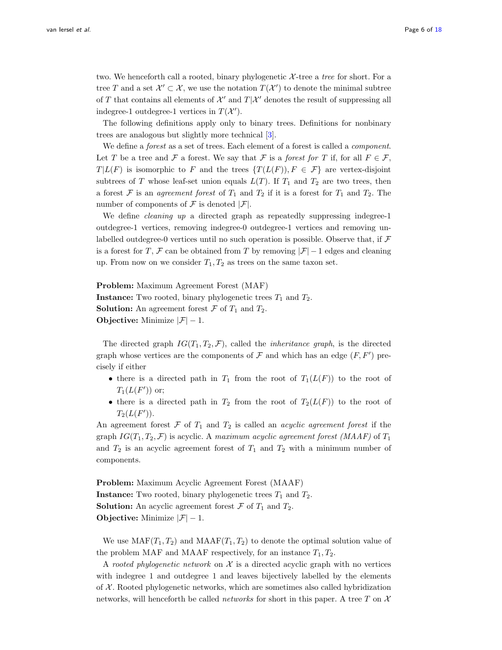two. We henceforth call a rooted, binary phylogenetic  $X$ -tree a tree for short. For a tree T and a set  $\mathcal{X}' \subset \mathcal{X}$ , we use the notation  $T(\mathcal{X}')$  to denote the minimal subtree of  $T$  that contains all elements of  $\mathcal{X}'$  and  $T|\mathcal{X}'$  denotes the result of suppressing all indegree-1 outdegree-1 vertices in  $T(\mathcal{X}')$ .

The following definitions apply only to binary trees. Definitions for nonbinary trees are analogous but slightly more technical [\[3\]](#page-14-5).

We define a forest as a set of trees. Each element of a forest is called a component. Let T be a tree and F a forest. We say that F is a forest for T if, for all  $F \in \mathcal{F}$ ,  $T|L(F)$  is isomorphic to F and the trees  $\{T(L(F)), F \in \mathcal{F}\}\$ are vertex-disjoint subtrees of T whose leaf-set union equals  $L(T)$ . If  $T_1$  and  $T_2$  are two trees, then a forest  $\mathcal F$  is an agreement forest of  $T_1$  and  $T_2$  if it is a forest for  $T_1$  and  $T_2$ . The number of components of  $\mathcal F$  is denoted  $|\mathcal F|$ .

We define *cleaning up* a directed graph as repeatedly suppressing indegree-1 outdegree-1 vertices, removing indegree-0 outdegree-1 vertices and removing unlabelled outdegree-0 vertices until no such operation is possible. Observe that, if  $\mathcal F$ is a forest for T, F can be obtained from T by removing  $|\mathcal{F}|-1$  edges and cleaning up. From now on we consider  $T_1, T_2$  as trees on the same taxon set.

Problem: Maximum Agreement Forest (MAF) **Instance:** Two rooted, binary phylogenetic trees  $T_1$  and  $T_2$ . **Solution:** An agreement forest  $\mathcal F$  of  $T_1$  and  $T_2$ . **Objective:** Minimize  $|\mathcal{F}| - 1$ .

The directed graph  $IG(T_1, T_2, \mathcal{F})$ , called the *inheritance graph*, is the directed graph whose vertices are the components of  $\mathcal F$  and which has an edge  $(F, F')$  precisely if either

- there is a directed path in  $T_1$  from the root of  $T_1(L(F))$  to the root of  $T_1(L(F'))$  or;
- there is a directed path in  $T_2$  from the root of  $T_2(L(F))$  to the root of  $T_2(L(F'))$ .

An agreement forest  $\mathcal F$  of  $T_1$  and  $T_2$  is called an *acyclic agreement forest* if the graph  $IG(T_1, T_2, \mathcal{F})$  is acyclic. A maximum acyclic agreement forest (MAAF) of  $T_1$ and  $T_2$  is an acyclic agreement forest of  $T_1$  and  $T_2$  with a minimum number of components.

Problem: Maximum Acyclic Agreement Forest (MAAF) **Instance:** Two rooted, binary phylogenetic trees  $T_1$  and  $T_2$ . **Solution:** An acyclic agreement forest  $\mathcal F$  of  $T_1$  and  $T_2$ . **Objective:** Minimize  $|\mathcal{F}| - 1$ .

We use  $\text{MAF}(T_1, T_2)$  and  $\text{MAAF}(T_1, T_2)$  to denote the optimal solution value of the problem MAF and MAAF respectively, for an instance  $T_1, T_2$ .

A rooted phylogenetic network on  $X$  is a directed acyclic graph with no vertices with indegree 1 and outdegree 1 and leaves bijectively labelled by the elements of  $X$ . Rooted phylogenetic networks, which are sometimes also called hybridization networks, will henceforth be called *networks* for short in this paper. A tree T on  $\mathcal{X}$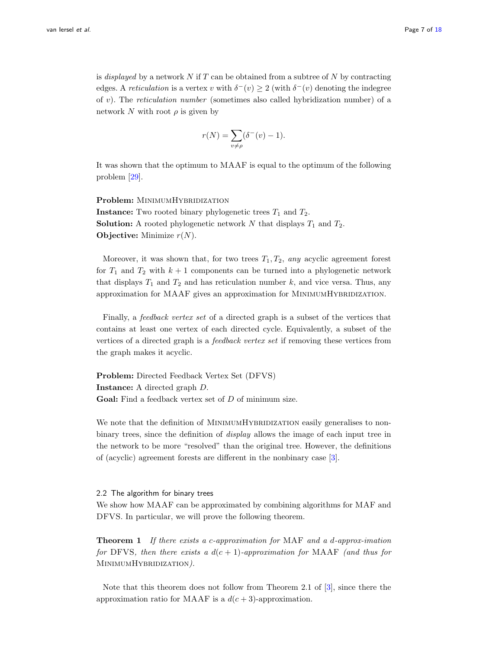is *displayed* by a network  $N$  if  $T$  can be obtained from a subtree of  $N$  by contracting edges. A *reticulation* is a vertex v with  $\delta^-(v) \ge 2$  (with  $\delta^-(v)$  denoting the indegree of v). The reticulation number (sometimes also called hybridization number) of a network N with root  $\rho$  is given by

$$
r(N) = \sum_{v \neq \rho} (\delta^-(v) - 1).
$$

It was shown that the optimum to MAAF is equal to the optimum of the following problem [\[29\]](#page-15-13).

Problem: MINIMUMHYBRIDIZATION **Instance:** Two rooted binary phylogenetic trees  $T_1$  and  $T_2$ . **Solution:** A rooted phylogenetic network N that displays  $T_1$  and  $T_2$ . **Objective:** Minimize  $r(N)$ .

Moreover, it was shown that, for two trees  $T_1, T_2, any acyclic agreement$  forest for  $T_1$  and  $T_2$  with  $k+1$  components can be turned into a phylogenetic network that displays  $T_1$  and  $T_2$  and has reticulation number k, and vice versa. Thus, any approximation for MAAF gives an approximation for MINIMUMHYBRIDIZATION.

Finally, a feedback vertex set of a directed graph is a subset of the vertices that contains at least one vertex of each directed cycle. Equivalently, a subset of the vertices of a directed graph is a feedback vertex set if removing these vertices from the graph makes it acyclic.

Problem: Directed Feedback Vertex Set (DFVS) Instance: A directed graph D. Goal: Find a feedback vertex set of D of minimum size.

We note that the definition of MINIMUMHYBRIDIZATION easily generalises to nonbinary trees, since the definition of *display* allows the image of each input tree in the network to be more "resolved" than the original tree. However, the definitions of (acyclic) agreement forests are different in the nonbinary case [\[3\]](#page-14-5).

#### <span id="page-6-0"></span>2.2 The algorithm for binary trees

We show how MAAF can be approximated by combining algorithms for MAF and DFVS. In particular, we will prove the following theorem.

<span id="page-6-1"></span>**Theorem 1** If there exists a c-approximation for MAF and a d-approx-imation for DFVS, then there exists a  $d(c + 1)$ -approximation for MAAF (and thus for MINIMUMHYBRIDIZATION).

Note that this theorem does not follow from Theorem 2.1 of [\[3\]](#page-14-5), since there the approximation ratio for MAAF is a  $d(c+3)$ -approximation.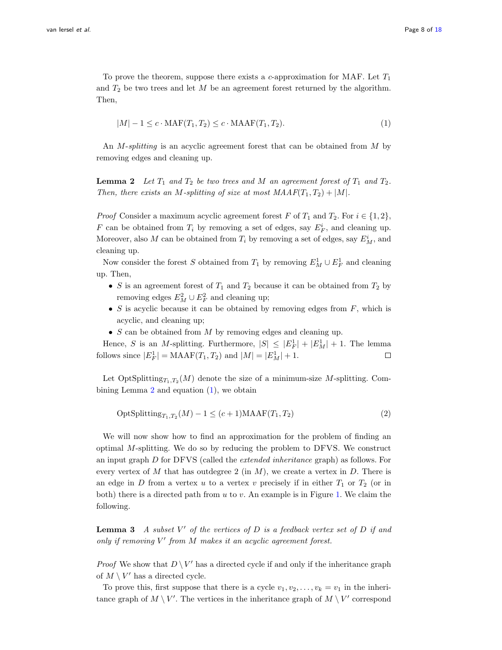To prove the theorem, suppose there exists a c-approximation for MAF. Let  $T_1$ and  $T_2$  be two trees and let M be an agreement forest returned by the algorithm. Then,

<span id="page-7-1"></span>
$$
|M| - 1 \le c \cdot \text{MAF}(T_1, T_2) \le c \cdot \text{MAAF}(T_1, T_2). \tag{1}
$$

An M-splitting is an acyclic agreement forest that can be obtained from M by removing edges and cleaning up.

<span id="page-7-0"></span>**Lemma 2** Let  $T_1$  and  $T_2$  be two trees and M an agreement forest of  $T_1$  and  $T_2$ . Then, there exists an M-splitting of size at most  $MAAF(T_1, T_2) + |M|$ .

*Proof* Consider a maximum acyclic agreement forest F of  $T_1$  and  $T_2$ . For  $i \in \{1, 2\}$ , F can be obtained from  $T_i$  by removing a set of edges, say  $E_F^i$ , and cleaning up. Moreover, also  $M$  can be obtained from  $T_i$  by removing a set of edges, say  $E_M^i$ , and cleaning up.

Now consider the forest S obtained from  $T_1$  by removing  $E_M^1 \cup E_F^1$  and cleaning up. Then,

- S is an agreement forest of  $T_1$  and  $T_2$  because it can be obtained from  $T_2$  by removing edges  $E_M^2 \cup E_F^2$  and cleaning up;
- $S$  is acyclic because it can be obtained by removing edges from  $F$ , which is acyclic, and cleaning up;
- $S$  can be obtained from  $M$  by removing edges and cleaning up.

Hence, S is an M-splitting. Furthermore,  $|S| \leq |E_F^1| + |E_M^1| + 1$ . The lemma follows since  $|E_F^1| = \text{MAAF}(T_1, T_2)$  and  $|M| = |E_M^1| + 1$ .  $\Box$ 

Let  $OptSplitting_{T_1,T_2}(M)$  denote the size of a minimum-size M-splitting. Combining Lemma [2](#page-7-0) and equation [\(1\)](#page-7-1), we obtain

<span id="page-7-3"></span>
$$
OptSplitting_{T_1,T_2}(M) - 1 \le (c+1) \text{MAAF}(T_1,T_2)
$$
\n
$$
(2)
$$

We will now show how to find an approximation for the problem of finding an optimal M-splitting. We do so by reducing the problem to DFVS. We construct an input graph D for DFVS (called the extended inheritance graph) as follows. For every vertex of M that has outdegree 2 (in M), we create a vertex in D. There is an edge in D from a vertex u to a vertex v precisely if in either  $T_1$  or  $T_2$  (or in both) there is a directed path from  $u$  to  $v$ . An example is in Figure [1.](#page-8-0) We claim the following.

<span id="page-7-2"></span>**Lemma 3** A subset  $V'$  of the vertices of D is a feedback vertex set of D if and only if removing  $V'$  from  $M$  makes it an acyclic agreement forest.

*Proof* We show that  $D \setminus V'$  has a directed cycle if and only if the inheritance graph of  $M \setminus V'$  has a directed cycle.

To prove this, first suppose that there is a cycle  $v_1, v_2, \ldots, v_k = v_1$  in the inheritance graph of  $M \setminus V'$ . The vertices in the inheritance graph of  $M \setminus V'$  correspond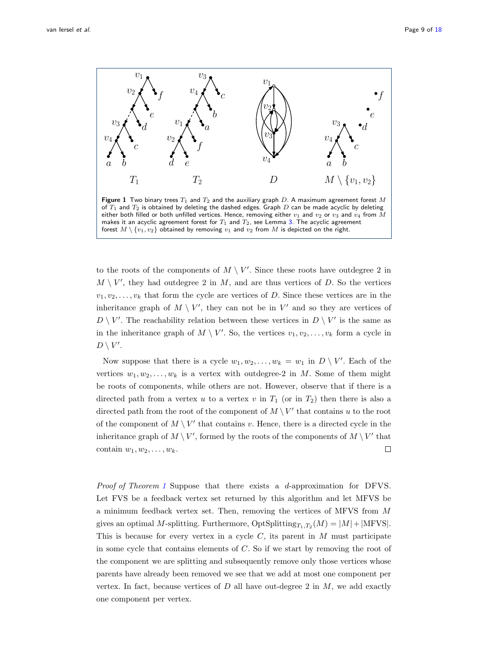

<span id="page-8-0"></span>to the roots of the components of  $M \setminus V'$ . Since these roots have outdegree 2 in  $M \setminus V'$ , they had outdegree 2 in  $M$ , and are thus vertices of  $D$ . So the vertices  $v_1, v_2, \ldots, v_k$  that form the cycle are vertices of D. Since these vertices are in the inheritance graph of  $M \setminus V'$ , they can not be in  $V'$  and so they are vertices of  $D \setminus V'$ . The reachability relation between these vertices in  $D \setminus V'$  is the same as in the inheritance graph of  $M \setminus V'$ . So, the vertices  $v_1, v_2, \ldots, v_k$  form a cycle in  $D \setminus V'.$ 

Now suppose that there is a cycle  $w_1, w_2, \ldots, w_k = w_1$  in  $D \setminus V'$ . Each of the vertices  $w_1, w_2, \ldots, w_k$  is a vertex with outdegree-2 in M. Some of them might be roots of components, while others are not. However, observe that if there is a directed path from a vertex u to a vertex v in  $T_1$  (or in  $T_2$ ) then there is also a directed path from the root of the component of  $M \setminus V'$  that contains u to the root of the component of  $M \setminus V'$  that contains v. Hence, there is a directed cycle in the inheritance graph of  $M \setminus V'$ , formed by the roots of the components of  $M \setminus V'$  that  $\Box$ contain  $w_1, w_2, \ldots, w_k$ .

Proof of Theorem [1](#page-6-1) Suppose that there exists a d-approximation for DFVS. Let FVS be a feedback vertex set returned by this algorithm and let MFVS be a minimum feedback vertex set. Then, removing the vertices of MFVS from M gives an optimal M-splitting. Furthermore,  $\text{OptSplitting}_{T_1,T_2}(M) = |M| + |\text{MFVS}|.$ This is because for every vertex in a cycle  $C$ , its parent in  $M$  must participate in some cycle that contains elements of  $C$ . So if we start by removing the root of the component we are splitting and subsequently remove only those vertices whose parents have already been removed we see that we add at most one component per vertex. In fact, because vertices of  $D$  all have out-degree 2 in  $M$ , we add exactly one component per vertex.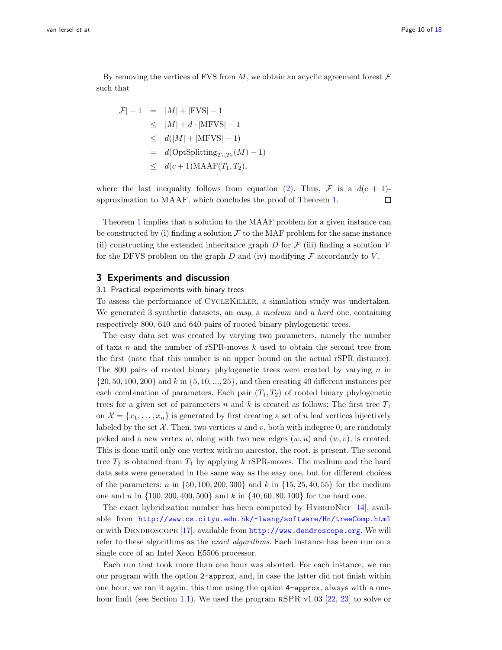By removing the vertices of FVS from  $M$ , we obtain an acyclic agreement forest  $\mathcal F$ such that

$$
|\mathcal{F}| - 1 = |M| + |\text{FVS}| - 1
$$
  
\n
$$
\leq |M| + d \cdot |\text{MFVS}| - 1
$$
  
\n
$$
\leq d(|M| + |\text{MFVS}| - 1)
$$
  
\n
$$
= d(\text{OptSplitting}_{T_1, T_2}(M) - 1)
$$
  
\n
$$
\leq d(c+1) \text{MAAF}(T_1, T_2),
$$

where the last inequality follows from equation [\(2\)](#page-7-3). Thus,  $\mathcal F$  is a  $d(c + 1)$ approximation to MAAF, which concludes the proof of Theorem [1.](#page-6-1)  $\Box$ 

Theorem [1](#page-6-1) implies that a solution to the MAAF problem for a given instance can be constructed by (i) finding a solution  $\mathcal F$  to the MAF problem for the same instance (ii) constructing the extended inheritance graph  $D$  for  $\mathcal F$  (iii) finding a solution  $V$ for the DFVS problem on the graph  $D$  and (iv) modifying  $\mathcal F$  accordantly to  $V$ .

## 3 Experiments and discussion

### <span id="page-9-0"></span>3.1 Practical experiments with binary trees

To assess the performance of CycleKiller, a simulation study was undertaken. We generated 3 synthetic datasets, an easy, a medium and a hard one, containing respectively 800, 640 and 640 pairs of rooted binary phylogenetic trees.

The easy data set was created by varying two parameters, namely the number of taxa  $n$  and the number of rSPR-moves  $k$  used to obtain the second tree from the first (note that this number is an upper bound on the actual rSPR distance). The 800 pairs of rooted binary phylogenetic trees were created by varying  $n$  in  $\{20, 50, 100, 200\}$  and k in  $\{5, 10, \ldots, 25\}$ , and then creating 40 different instances per each combination of parameters. Each pair  $(T_1, T_2)$  of rooted binary phylogenetic trees for a given set of parameters n and k is created as follows: The first tree  $T_1$ on  $\mathcal{X} = \{x_1, \ldots, x_n\}$  is generated by first creating a set of n leaf vertices bijectively labeled by the set  $\mathcal{X}$ . Then, two vertices u and v, both with indegree 0, are randomly picked and a new vertex w, along with two new edges  $(w, u)$  and  $(w, v)$ , is created. This is done until only one vertex with no ancestor, the root, is present. The second tree  $T_2$  is obtained from  $T_1$  by applying k rSPR-moves. The medium and the hard data sets were generated in the same way as the easy one, but for different choices of the parameters: n in  $\{50, 100, 200, 300\}$  and k in  $\{15, 25, 40, 55\}$  for the medium one and n in  $\{100, 200, 400, 500\}$  and k in  $\{40, 60, 80, 100\}$  for the hard one.

The exact hybridization number has been computed by HYBRIDNET  $[14]$ , available from <http://www.cs.cityu.edu.hk/~lwang/software/Hn/treeComp.html> or with DENDROSCOPE [\[17\]](#page-15-1), available from  $http://www.dendroscope.org.$  $http://www.dendroscope.org.$  We will refer to these algorithms as the *exact algorithms*. Each instance has been run on a single core of an Intel Xeon E5506 processor.

Each run that took more than one hour was aborted. For each instance, we ran our program with the option 2-approx, and, in case the latter did not finish within one hour, we ran it again, this time using the option 4-approx, always with a one-hour limit (see Section [1.1\)](#page-2-0). We used the program RSPR v1.03 [\[22,](#page-15-6) [23\]](#page-15-7) to solve or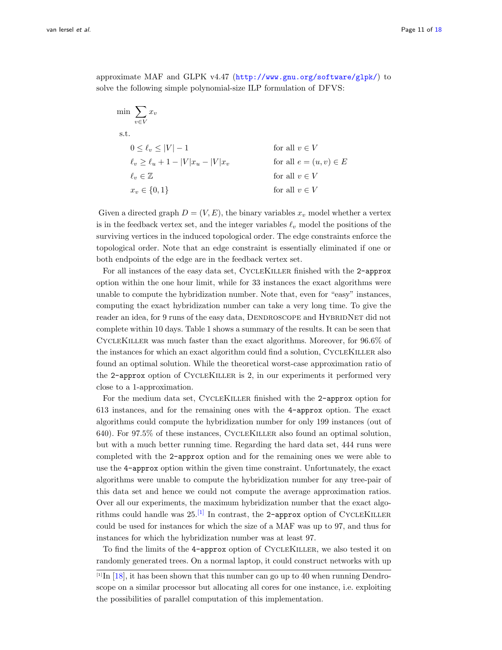approximate MAF and GLPK v4.47 (<http://www.gnu.org/software/glpk/>) to solve the following simple polynomial-size ILP formulation of DFVS:

$$
\min \sum_{v \in V} x_v
$$
\n
$$
0 \le \ell_v \le |V| - 1
$$
\n
$$
\ell_v \ge \ell_u + 1 - |V| x_u - |V| x_v
$$
\nfor all  $v \in V$   
\n
$$
\ell_v \in \mathbb{Z}
$$
\nfor all  $e = (u, v) \in E$   
\n
$$
\ell_v \in \mathbb{Z}
$$
\nfor all  $v \in V$   
\nfor all  $v \in V$   
\nfor all  $v \in V$ 

Given a directed graph  $D = (V, E)$ , the binary variables  $x<sub>v</sub>$  model whether a vertex is in the feedback vertex set, and the integer variables  $\ell_v$  model the positions of the surviving vertices in the induced topological order. The edge constraints enforce the topological order. Note that an edge constraint is essentially eliminated if one or both endpoints of the edge are in the feedback vertex set.

For all instances of the easy data set, CycleKiller finished with the 2-approx option within the one hour limit, while for 33 instances the exact algorithms were unable to compute the hybridization number. Note that, even for "easy" instances, computing the exact hybridization number can take a very long time. To give the reader an idea, for 9 runs of the easy data, DENDROSCOPE and HYBRIDNET did not complete within 10 days. Table 1 shows a summary of the results. It can be seen that CycleKiller was much faster than the exact algorithms. Moreover, for 96.6% of the instances for which an exact algorithm could find a solution, CYCLEKILLER also found an optimal solution. While the theoretical worst-case approximation ratio of the 2-approx option of CycleKiller is 2, in our experiments it performed very close to a 1-approximation.

For the medium data set, CYCLEKILLER finished with the 2-approx option for 613 instances, and for the remaining ones with the 4-approx option. The exact algorithms could compute the hybridization number for only 199 instances (out of 640). For 97.5% of these instances, CycleKiller also found an optimal solution, but with a much better running time. Regarding the hard data set, 444 runs were completed with the 2-approx option and for the remaining ones we were able to use the 4-approx option within the given time constraint. Unfortunately, the exact algorithms were unable to compute the hybridization number for any tree-pair of this data set and hence we could not compute the average approximation ratios. Over all our experiments, the maximum hybridization number that the exact algorithms could handle was  $25$ .<sup>[\[1\]](#page-10-0)</sup> In contrast, the 2-approx option of CYCLEKILLER could be used for instances for which the size of a MAF was up to 97, and thus for instances for which the hybridization number was at least 97.

To find the limits of the 4-approx option of CycleKiller, we also tested it on randomly generated trees. On a normal laptop, it could construct networks with up

<span id="page-10-0"></span> $[1]$  In  $[18]$ , it has been shown that this number can go up to 40 when running Dendroscope on a similar processor but allocating all cores for one instance, i.e. exploiting the possibilities of parallel computation of this implementation.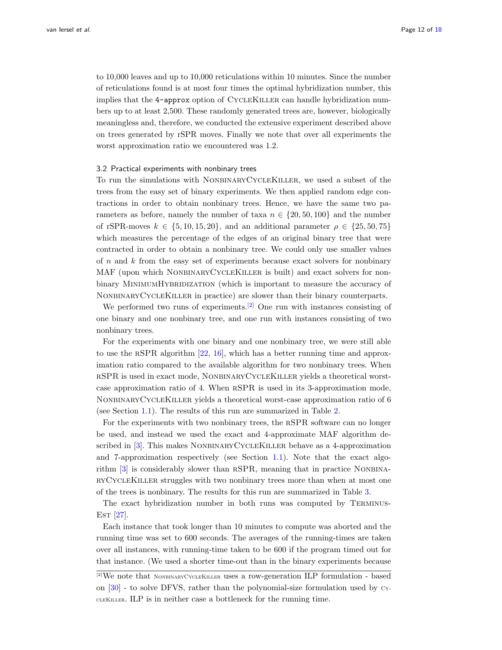to 10,000 leaves and up to 10,000 reticulations within 10 minutes. Since the number of reticulations found is at most four times the optimal hybridization number, this implies that the 4-approx option of CycleKiller can handle hybridization numbers up to at least 2,500. These randomly generated trees are, however, biologically meaningless and, therefore, we conducted the extensive experiment described above on trees generated by rSPR moves. Finally we note that over all experiments the worst approximation ratio we encountered was 1.2.

#### <span id="page-11-0"></span>3.2 Practical experiments with nonbinary trees

To run the simulations with NONBINARYCYCLEKILLER, we used a subset of the trees from the easy set of binary experiments. We then applied random edge contractions in order to obtain nonbinary trees. Hence, we have the same two parameters as before, namely the number of taxa  $n \in \{20, 50, 100\}$  and the number of rSPR-moves  $k \in \{5, 10, 15, 20\}$ , and an additional parameter  $\rho \in \{25, 50, 75\}$ which measures the percentage of the edges of an original binary tree that were contracted in order to obtain a nonbinary tree. We could only use smaller values of  $n$  and  $k$  from the easy set of experiments because exact solvers for nonbinary MAF (upon which NONBINARYCYCLEKILLER is built) and exact solvers for nonbinary MINIMUMHYBRIDIZATION (which is important to measure the accuracy of NonbinaryCycleKiller in practice) are slower than their binary counterparts.

We performed two runs of experiments.<sup>[\[2\]](#page-11-1)</sup> One run with instances consisting of one binary and one nonbinary tree, and one run with instances consisting of two nonbinary trees.

For the experiments with one binary and one nonbinary tree, we were still able to use the rSPR algorithm [\[22,](#page-15-6) [16\]](#page-15-0), which has a better running time and approximation ratio compared to the available algorithm for two nonbinary trees. When rSPR is used in exact mode, NonbinaryCycleKiller yields a theoretical worstcase approximation ratio of 4. When rSPR is used in its 3-approximation mode, NonbinaryCycleKiller yields a theoretical worst-case approximation ratio of 6 (see Section [1.1\)](#page-2-0). The results of this run are summarized in Table [2.](#page-16-0)

For the experiments with two nonbinary trees, the rSPR software can no longer be used, and instead we used the exact and 4-approximate MAF algorithm de-scribed in [\[3\]](#page-14-5). This makes NONBINARYCYCLEKILLER behave as a 4-approximation and 7-approximation respectively (see Section [1.1\)](#page-2-0). Note that the exact algorithm  $[3]$  is considerably slower than RSPR, meaning that in practice NONBINAryCycleKiller struggles with two nonbinary trees more than when at most one of the trees is nonbinary. The results for this run are summarized in Table [3.](#page-16-1)

The exact hybridization number in both runs was computed by Terminus- $EST [27]$  $EST [27]$ .

Each instance that took longer than 10 minutes to compute was aborted and the running time was set to 600 seconds. The averages of the running-times are taken over all instances, with running-time taken to be 600 if the program timed out for that instance. (We used a shorter time-out than in the binary experiments because

<span id="page-11-1"></span><sup>[2]</sup>We note that NonbinaryCycleKiller uses a row-generation ILP formulation - based on  $[30]$  - to solve DFVS, rather than the polynomial-size formulation used by  $C_{Y}$ cleKiller. ILP is in neither case a bottleneck for the running time.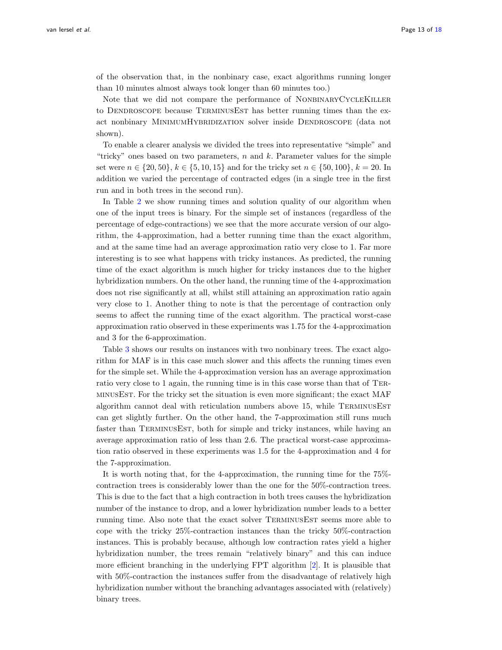of the observation that, in the nonbinary case, exact algorithms running longer than 10 minutes almost always took longer than 60 minutes too.)

Note that we did not compare the performance of NONBINARYCYCLEKILLER to DENDROSCOPE because TERMINUSEST has better running times than the exact nonbinary MINIMUMHYBRIDIZATION solver inside DENDROSCOPE (data not shown).

To enable a clearer analysis we divided the trees into representative "simple" and "tricky" ones based on two parameters,  $n$  and  $k$ . Parameter values for the simple set were  $n \in \{20, 50\}, k \in \{5, 10, 15\}$  and for the tricky set  $n \in \{50, 100\}, k = 20$ . In addition we varied the percentage of contracted edges (in a single tree in the first run and in both trees in the second run).

In Table [2](#page-16-0) we show running times and solution quality of our algorithm when one of the input trees is binary. For the simple set of instances (regardless of the percentage of edge-contractions) we see that the more accurate version of our algorithm, the 4-approximation, had a better running time than the exact algorithm, and at the same time had an average approximation ratio very close to 1. Far more interesting is to see what happens with tricky instances. As predicted, the running time of the exact algorithm is much higher for tricky instances due to the higher hybridization numbers. On the other hand, the running time of the 4-approximation does not rise significantly at all, whilst still attaining an approximation ratio again very close to 1. Another thing to note is that the percentage of contraction only seems to affect the running time of the exact algorithm. The practical worst-case approximation ratio observed in these experiments was 1.75 for the 4-approximation and 3 for the 6-approximation.

Table [3](#page-16-1) shows our results on instances with two nonbinary trees. The exact algorithm for MAF is in this case much slower and this affects the running times even for the simple set. While the 4-approximation version has an average approximation ratio very close to 1 again, the running time is in this case worse than that of TerminusEst. For the tricky set the situation is even more significant; the exact MAF algorithm cannot deal with reticulation numbers above 15, while TERMINUSEST can get slightly further. On the other hand, the 7-approximation still runs much faster than TerminusEst, both for simple and tricky instances, while having an average approximation ratio of less than 2.6. The practical worst-case approximation ratio observed in these experiments was 1.5 for the 4-approximation and 4 for the 7-approximation.

It is worth noting that, for the 4-approximation, the running time for the 75% contraction trees is considerably lower than the one for the 50%-contraction trees. This is due to the fact that a high contraction in both trees causes the hybridization number of the instance to drop, and a lower hybridization number leads to a better running time. Also note that the exact solver TERMINUSEST seems more able to cope with the tricky 25%-contraction instances than the tricky 50%-contraction instances. This is probably because, although low contraction rates yield a higher hybridization number, the trees remain "relatively binary" and this can induce more efficient branching in the underlying FPT algorithm [\[2\]](#page-14-4). It is plausible that with 50%-contraction the instances suffer from the disadvantage of relatively high hybridization number without the branching advantages associated with (relatively) binary trees.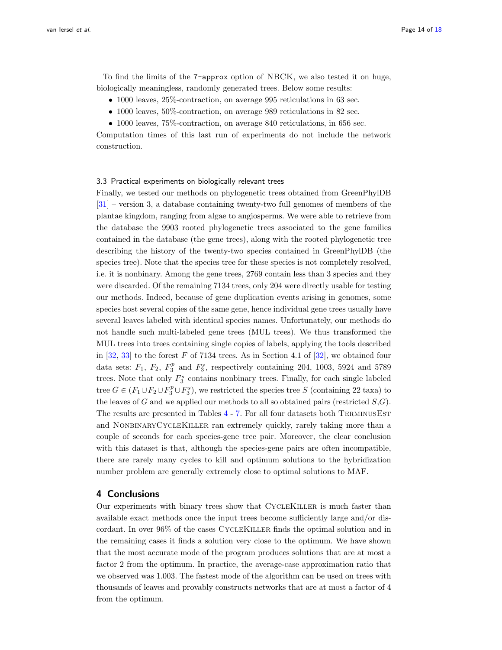To find the limits of the 7-approx option of NBCK, we also tested it on huge, biologically meaningless, randomly generated trees. Below some results:

- 1000 leaves, 25%-contraction, on average 995 reticulations in 63 sec.
- 1000 leaves, 50%-contraction, on average 989 reticulations in 82 sec.
- 1000 leaves, 75\%-contraction, on average 840 reticulations, in 656 sec.

Computation times of this last run of experiments do not include the network construction.

#### <span id="page-13-0"></span>3.3 Practical experiments on biologically relevant trees

Finally, we tested our methods on phylogenetic trees obtained from GreenPhylDB [\[31\]](#page-15-15) – version 3, a database containing twenty-two full genomes of members of the plantae kingdom, ranging from algae to angiosperms. We were able to retrieve from the database the 9903 rooted phylogenetic trees associated to the gene families contained in the database (the gene trees), along with the rooted phylogenetic tree describing the history of the twenty-two species contained in GreenPhylDB (the species tree). Note that the species tree for these species is not completely resolved, i.e. it is nonbinary. Among the gene trees, 2769 contain less than 3 species and they were discarded. Of the remaining 7134 trees, only 204 were directly usable for testing our methods. Indeed, because of gene duplication events arising in genomes, some species host several copies of the same gene, hence individual gene trees usually have several leaves labeled with identical species names. Unfortunately, our methods do not handle such multi-labeled gene trees (MUL trees). We thus transformed the MUL trees into trees containing single copies of labels, applying the tools described in [\[32,](#page-15-16) [33\]](#page-15-17) to the forest  $F$  of 7134 trees. As in Section 4.1 of [\[32\]](#page-15-16), we obtained four data sets:  $F_1$ ,  $F_2$ ,  $F_3^p$  and  $F_3^s$ , respectively containing 204, 1003, 5924 and 5789 trees. Note that only  $F_3^s$  contains nonbinary trees. Finally, for each single labeled tree  $G \in (F_1 \cup F_2 \cup F_3^p \cup F_3^s)$ , we restricted the species tree S (containing 22 taxa) to the leaves of G and we applied our methods to all so obtained pairs (restricted  $S$ , G). The results are presented in Tables [4](#page-17-1) - [7.](#page-17-2) For all four datasets both TERMINUSEST and NONBINARYCYCLEKILLER ran extremely quickly, rarely taking more than a couple of seconds for each species-gene tree pair. Moreover, the clear conclusion with this dataset is that, although the species-gene pairs are often incompatible, there are rarely many cycles to kill and optimum solutions to the hybridization number problem are generally extremely close to optimal solutions to MAF.

## 4 Conclusions

Our experiments with binary trees show that CycleKiller is much faster than available exact methods once the input trees become sufficiently large and/or discordant. In over 96% of the cases CycleKiller finds the optimal solution and in the remaining cases it finds a solution very close to the optimum. We have shown that the most accurate mode of the program produces solutions that are at most a factor 2 from the optimum. In practice, the average-case approximation ratio that we observed was 1.003. The fastest mode of the algorithm can be used on trees with thousands of leaves and provably constructs networks that are at most a factor of 4 from the optimum.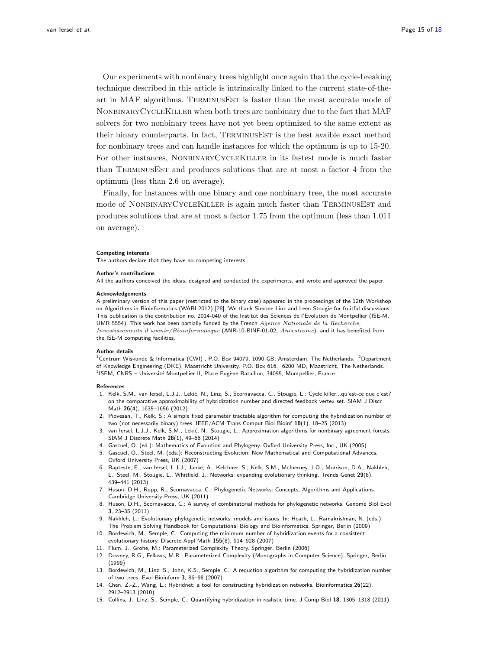Our experiments with nonbinary trees highlight once again that the cycle-breaking technique described in this article is intrinsically linked to the current state-of-theart in MAF algorithms. TERMINUSEST is faster than the most accurate mode of NonbinaryCycleKiller when both trees are nonbinary due to the fact that MAF solvers for two nonbinary trees have not yet been optimized to the same extent as their binary counterparts. In fact, TERMINUSEST is the best avaible exact method for nonbinary trees and can handle instances for which the optimum is up to 15-20. For other instances, NONBINARYCYCLEKILLER in its fastest mode is much faster than TerminusEst and produces solutions that are at most a factor 4 from the optimum (less than 2.6 on average).

Finally, for instances with one binary and one nonbinary tree, the most accurate mode of NONBINARYCYCLEKILLER is again much faster than TERMINUSEST and produces solutions that are at most a factor 1.75 from the optimum (less than 1.011 on average).

#### Competing interests

The authors declare that they have no competing interests.

#### Author's contributions

All the authors conceived the ideas, designed and conducted the experiments, and wrote and approved the paper.

#### Acknowledgements

A preliminary version of this paper (restricted to the binary case) appeared in the proceedings of the 12th Workshop on Algorithms in Bioinformatics (WABI 2012) [\[28\]](#page-15-12). We thank Simone Linz and Leen Stougie for fruitful discussions. This publication is the contribution no. 2014-040 of the Institut des Sciences de l'Evolution de Montpellier (ISE-M, UMR 5554). This work has been partially funded by the French Agence Nationale de la Recherche, Investissements d'avenir/Bioinformatique (ANR-10-BINF-01-02, Ancestrome), and it has benefited from the ISE-M computing facilities.

#### Author details

<span id="page-14-0"></span> $^1$ Centrum Wiskunde & Informatica (CWI) , P.O. Box 94079, 1090 GB, Amsterdam, The Netherlands.  $^2$ Department of Knowledge Engineering (DKE), Maastricht University, P.O. Box 616, 6200 MD, Maastricht, The Netherlands.  $3$ ISEM, CNRS – Université Montpellier II, Place Eugène Bataillon, 34095, Montpellier, France.

#### <span id="page-14-2"></span>References

- <span id="page-14-3"></span><span id="page-14-1"></span>1. Kelk, S.M., van Iersel, L.J.J., Lekić, N., Linz, S., Scornavacca, C., Stougie, L.: Cycle killer...qu'est-ce que c'est? on the comparative approximability of hybridization number and directed feedback vertex set. SIAM J Discr Math 26(4), 1635–1656 (2012)
- <span id="page-14-4"></span>2. Piovesan, T., Kelk, S.: A simple fixed parameter tractable algorithm for computing the hybridization number of two (not necessarily binary) trees. IEEE/ACM Trans Comput Biol Bioinf 10(1), 18–25 (2013)
- <span id="page-14-5"></span>3. van Iersel, L.J.J., Kelk, S.M., Leki´c, N., Stougie, L.: Approximation algorithms for nonbinary agreement forests. SIAM J Discrete Math 28(1), 49–66 (2014)
- <span id="page-14-6"></span>4. Gascuel, O. (ed.): Mathematics of Evolution and Phylogeny. Oxford University Press, Inc., UK (2005)
- <span id="page-14-7"></span>5. Gascuel, O., Steel, M. (eds.): Reconstructing Evolution: New Mathematical and Computational Advances. Oxford University Press, UK (2007)
- <span id="page-14-8"></span>6. Bapteste, E., van Iersel, L.J.J., Janke, A., Kelchner, S., Kelk, S.M., McInerney, J.O., Morrison, D.A., Nakhleh, L., Steel, M., Stougie, L., Whitfield, J.: Networks: expanding evolutionary thinking. Trends Genet 29(8), 439–441 (2013)
- <span id="page-14-9"></span>7. Huson, D.H., Rupp, R., Scornavacca, C.: Phylogenetic Networks: Concepts, Algorithms and Applications. Cambridge University Press, UK (2011)
- <span id="page-14-10"></span>8. Huson, D.H., Scornavacca, C.: A survey of combinatorial methods for phylogenetic networks. Genome Biol Evol 3, 23–35 (2011)
- <span id="page-14-11"></span>9. Nakhleh, L.: Evolutionary phylogenetic networks: models and issues. In: Heath, L., Ramakrishnan, N. (eds.) The Problem Solving Handbook for Computational Biology and Bioinformatics. Springer, Berlin (2009)
- <span id="page-14-12"></span>10. Bordewich, M., Semple, C.: Computing the minimum number of hybridization events for a consistent evolutionary history. Discrete Appl Math 155(8), 914–928 (2007)
- <span id="page-14-13"></span>11. Flum, J., Grohe, M.: Parameterized Complexity Theory. Springer, Berlin (2006)
- <span id="page-14-14"></span>12. Downey, R.G., Fellows, M.R.: Parameterized Complexity (Monographs in Computer Science). Springer, Berlin (1999)
- <span id="page-14-15"></span>13. Bordewich, M., Linz, S., John, K.S., Semple, C.: A reduction algorithm for computing the hybridization number of two trees. Evol Bioinform 3, 86–98 (2007)
- <span id="page-14-16"></span>14. Chen, Z.-Z., Wang, L.: Hybridnet: a tool for constructing hybridization networks. Bioinformatics 26(22), 2912–2913 (2010)
- <span id="page-14-17"></span>15. Collins, J., Linz, S., Semple, C.: Quantifying hybridization in realistic time. J Comp Biol 18, 1305–1318 (2011)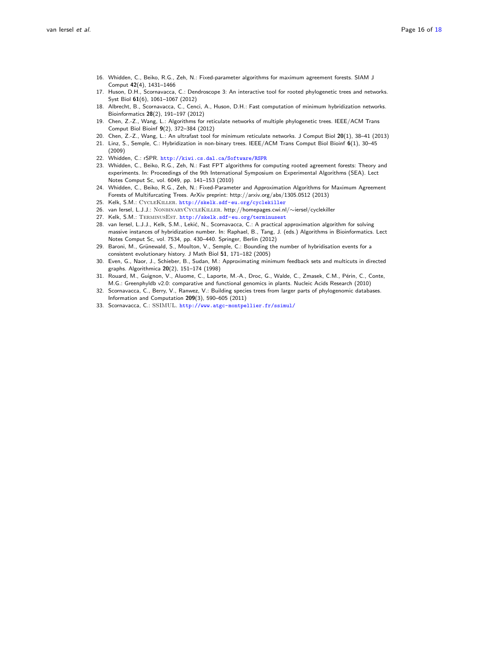- <span id="page-15-0"></span>16. Whidden, C., Beiko, R.G., Zeh, N.: Fixed-parameter algorithms for maximum agreement forests. SIAM J Comput 42(4), 1431–1466
- <span id="page-15-1"></span>17. Huson, D.H., Scornavacca, C.: Dendroscope 3: An interactive tool for rooted phylogenetic trees and networks. Syst Biol 61(6), 1061-1067 (2012)
- <span id="page-15-2"></span>18. Albrecht, B., Scornavacca, C., Cenci, A., Huson, D.H.: Fast computation of minimum hybridization networks. Bioinformatics 28(2), 191–197 (2012)
- <span id="page-15-3"></span>19. Chen, Z.-Z., Wang, L.: Algorithms for reticulate networks of multiple phylogenetic trees. IEEE/ACM Trans Comput Biol Bioinf 9(2), 372–384 (2012)
- <span id="page-15-4"></span>20. Chen, Z.-Z., Wang, L.: An ultrafast tool for minimum reticulate networks. J Comput Biol 20(1), 38–41 (2013)
- <span id="page-15-5"></span>21. Linz, S., Semple, C.: Hybridization in non-binary trees. IEEE/ACM Trans Comput Biol Bioinf 6(1), 30–45 (2009)
- <span id="page-15-6"></span>22. Whidden, C.: rSPR. <http://kiwi.cs.dal.ca/Software/RSPR>
- <span id="page-15-7"></span>23. Whidden, C., Beiko, R.G., Zeh, N.: Fast FPT algorithms for computing rooted agreement forests: Theory and experiments. In: Proceedings of the 9th International Symposium on Experimental Algorithms (SEA). Lect Notes Comput Sc, vol. 6049, pp. 141–153 (2010)
- <span id="page-15-8"></span>24. Whidden, C., Beiko, R.G., Zeh, N.: Fixed-Parameter and Approximation Algorithms for Maximum Agreement Forests of Multifurcating Trees. ArXiv preprint: http://arxiv.org/abs/1305.0512 (2013)
- <span id="page-15-9"></span>25. Kelk, S.M.: CycleKiller. <http://skelk.sdf-eu.org/cyclekiller>
- <span id="page-15-10"></span>26. van Iersel, L.J.J.: NonbinaryCycleKiller. http://homepages.cwi.nl/∼iersel/cyclekiller
- <span id="page-15-11"></span>27. Kelk, S.M.: TERMINUSEST. <http://skelk.sdf-eu.org/terminusest>
- <span id="page-15-12"></span>28. van Iersel, L.J.J., Kelk, S.M., Lekić, N., Scornavacca, C.: A practical approximation algorithm for solving
- massive instances of hybridization number. In: Raphael, B., Tang, J. (eds.) Algorithms in Bioinformatics. Lect Notes Comput Sc, vol. 7534, pp. 430–440. Springer, Berlin (2012)
- <span id="page-15-13"></span>29. Baroni, M., Grünewald, S., Moulton, V., Semple, C.: Bounding the number of hybridisation events for a consistent evolutionary history. J Math Biol 51, 171–182 (2005)
- <span id="page-15-14"></span>30. Even, G., Naor, J., Schieber, B., Sudan, M.: Approximating minimum feedback sets and multicuts in directed graphs. Algorithmica 20(2), 151–174 (1998)
- <span id="page-15-15"></span>31. Rouard, M., Guignon, V., Aluome, C., Laporte, M.-A., Droc, G., Walde, C., Zmasek, C.M., Périn, C., Conte, M.G.: Greenphyldb v2.0: comparative and functional genomics in plants. Nucleic Acids Research (2010)
- <span id="page-15-16"></span>32. Scornavacca, C., Berry, V., Ranwez, V.: Building species trees from larger parts of phylogenomic databases. Information and Computation 209(3), 590–605 (2011)
- <span id="page-15-17"></span>33. Scornavacca, C.: SSIMUL. <http://www.atgc-montpellier.fr/ssimul/>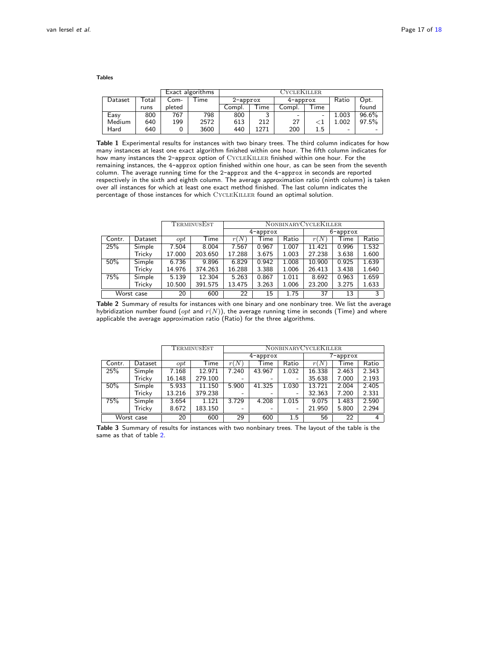Tables

|         |                           | Exact algorithms |      | CycleKiller.         |      |          |                          |       |       |  |
|---------|---------------------------|------------------|------|----------------------|------|----------|--------------------------|-------|-------|--|
| Dataset | $\sqrt{\phantom{a}}$ otal | Com-             | -ime | $2$ -approx          |      | 4-approx |                          | Ratio | Opt.  |  |
|         | runs                      | pleted           |      | $\tau$ ime<br>Compl. |      | Compl.   | $\tau_{\text{ime}}$      |       | found |  |
| Easy    | 800                       | 767              | 798  | 800                  |      | -        | $\overline{\phantom{a}}$ | 1.003 | 96.6% |  |
| Medium  | 640                       | 199              | 2572 | 613                  | 212  | 27       |                          | 1.002 | 97.5% |  |
| Hard    | 640                       |                  | 3600 | 440                  | 1271 | 200      | 1.5                      | -     |       |  |

Table 1 Experimental results for instances with two binary trees. The third column indicates for how many instances at least one exact algorithm finished within one hour. The fifth column indicates for how many instances the 2-approx option of CYCLEKILLER finished within one hour. For the remaining instances, the 4-approx option finished within one hour, as can be seen from the seventh column. The average running time for the 2-approx and the 4-approx in seconds are reported respectively in the sixth and eighth column. The average approximation ratio (ninth column) is taken over all instances for which at least one exact method finished. The last column indicates the percentage of those instances for which CYCLEKILLER found an optimal solution.

| TERMINUSEST |         |          | NONBINARYCYCLEKILLER |             |       |       |          |       |       |
|-------------|---------|----------|----------------------|-------------|-------|-------|----------|-------|-------|
|             |         |          |                      | $4$ -approx |       |       | 6-approx |       |       |
| Contr.      | Dataset | $_{opt}$ | Time                 | r(N)        | Time  | Ratio | r(N)     | Time  | Ratio |
| 25%         | Simple  | 7.504    | 8.004                | 7.567       | 0.967 | 1.007 | 11.421   | 0.996 | 1.532 |
|             | Tricky  | 17.000   | 203.650              | 17.288      | 3.675 | 1.003 | 27.238   | 3.638 | 1.600 |
| 50%         | Simple  | 6.736    | 9.896                | 6.829       | 0.942 | 1.008 | 10.900   | 0.925 | 1.639 |
|             | Tricky  | 14.976   | 374.263              | 16.288      | 3.388 | 1.006 | 26.413   | 3.438 | 1.640 |
| 75%         | Simple  | 5.139    | 12.304               | 5.263       | 0.867 | 1.011 | 8.692    | 0.963 | 1.659 |
|             | Tricky  | 10.500   | 391.575              | 13.475      | 3.263 | 1.006 | 23.200   | 3.275 | 1.633 |
| Worst case  |         | 20       | 600                  | 22          | 15    | 1.75  | 37       | 13    | 3     |

<span id="page-16-0"></span>Table 2 Summary of results for instances with one binary and one nonbinary tree. We list the average hybridization number found (opt and  $r(N)$ ), the average running time in seconds (Time) and where applicable the average approximation ratio (Ratio) for the three algorithms.

|            |         | TERMINUSEST |             | <b>NONBINARY CYCLEKILLER</b> |          |         |          |       |                |
|------------|---------|-------------|-------------|------------------------------|----------|---------|----------|-------|----------------|
|            |         |             |             | $4$ -approx                  |          |         | 7-approx |       |                |
| Contr.     | Dataset | $_{opt}$    | <b>Time</b> | r(N)                         | Time     | Ratio   | r(N)     | Time  | Ratio          |
| 25%        | Simple  | 7.168       | 12.971      | 7.240                        | 43.967   | 1.032   | 16.338   | 2.463 | 2.343          |
|            | Tricky  | 16.148      | 279.100     | -                            |          |         | 35.638   | 7.000 | 2.193          |
| 50%        | Simple  | 5.933       | 11.150      | 5.900                        | 41.325   | 1.030   | 13.721   | 2.004 | 2.405          |
|            | Tricky  | 13.216      | 379.238     | -                            |          | -       | 32.363   | 7.200 | 2.331          |
| 75%        | Simple  | 3.654       | 1.121       | 3.729                        | 4.208    | 1.015   | 9.075    | 1.483 | 2.590          |
|            | Tricky  | 8.672       | 183.150     | $\overline{\phantom{a}}$     | $\equiv$ |         | 21.950   | 5.800 | 2.294          |
| Worst case |         | 20          | 600         | 29                           | 600      | $1.5\,$ | 56       | 22    | $\overline{4}$ |

<span id="page-16-1"></span>Table 3 Summary of results for instances with two nonbinary trees. The layout of the table is the same as that of table [2.](#page-16-0)